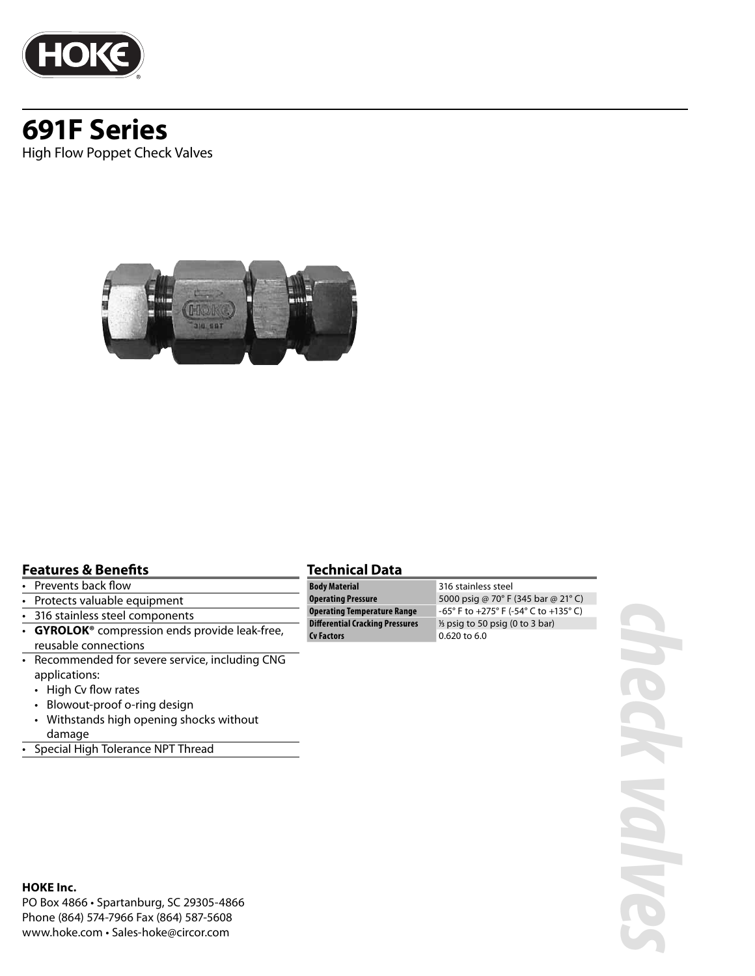

# **691F Series** High Flow Poppet Check Valves



## **Features & Benefits**

- Prevents back flow
- Protects valuable equipment
- 316 stainless steel components
- **GYROLOK®** compression ends provide leak-free, reusable connections
- Recommended for severe service, including CNG applications:
	- High Cv flow rates
	- Blowout-proof o-ring design
	- Withstands high opening shocks without damage
- Special High Tolerance NPT Thread

#### **HOKE Inc.** PO Box 4866 • Spartanburg, SC 29305-4866 Phone (864) 574-7966 Fax (864) 587-5608 www.hoke.com • Sales-hoke@circor.com

## **Technical Data**

| <b>Body Material</b>                   | 316 stainless steel                        |  |  |
|----------------------------------------|--------------------------------------------|--|--|
| <b>Operating Pressure</b>              | 5000 psig @ 70° F (345 bar @ 21° C)        |  |  |
| Operating Temperature Range            | -65° F to +275° F (-54° C to +135° C)      |  |  |
| <b>Differential Cracking Pressures</b> | $\frac{1}{2}$ psig to 50 psig (0 to 3 bar) |  |  |
| Cv Factors                             | 0.620 to 6.0                               |  |  |